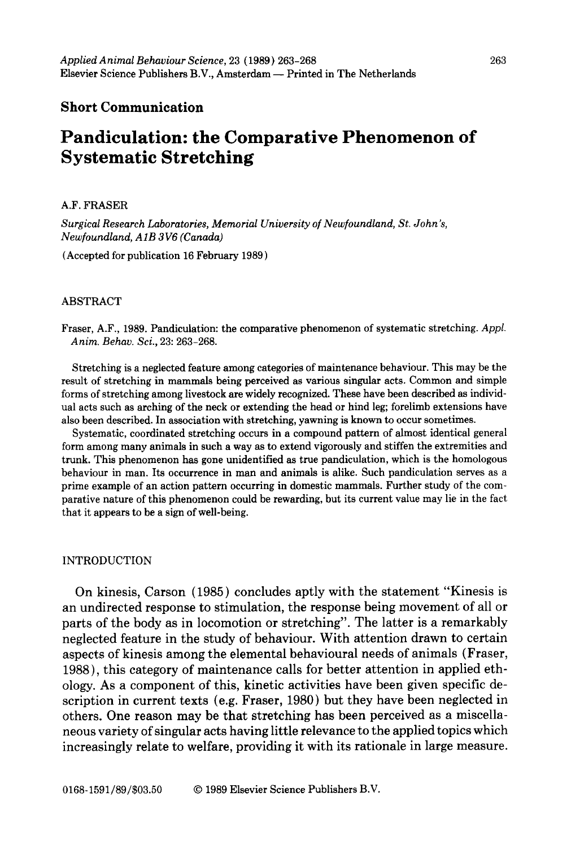### **Short Communication**

# **Pandiculation: the Comparative Phenomenon of Systematic Stretching**

### A.F. FRASER

*Surgical Research Laboratories, Memorial University of Newfoundland, St. John's, Newfoundland, AIB 3 V6 (Canada)* 

(Accepted for publication 16 February 1989)

### ABSTRACT

Fraser, A.F., 1989. Pandiculation: the comparative phenomenon of systematic stretching. *Appl. Anim. Behav. Sci.,* 23: 263-268.

Stretching is a neglected feature among categories of maintenance behaviour. This may be the result of stretching in mammals being perceived as various singular acts. Common and simple forms of stretching among livestock are widely recognized. These have been described as individual acts such as arching of the neck or extending the head or hind leg; forelimb extensions have also been described. In association with stretching, yawning is known to occur sometimes.

Systematic, coordinated stretching occurs in a compound pattern of almost identical general form among many animals in such a way as to extend vigorously and stiffen the extremities and trunk. This phenomenon has gone unidentified as true pandiculation, which is the homologous behaviour in man. Its occurrence in man and animals is alike. Such pandiculation serves as a prime example of an action pattern occurring in domestic mammals. Further study of the comparative nature of this phenomenon could be rewarding, but its current value may lie in the fact that it appears to be a sign of well-being.

### INTRODUCTION

On kinesis, Carson (1985) concludes aptly with the statement "Kinesis is an undirected response to stimulation, the response being movement of all or parts of the body as in locomotion or stretching". The latter is a remarkably neglected feature in the study of behaviour. With attention drawn to certain aspects of kinesis among the elemental behavioural needs of animals (Fraser, 1988), this category of maintenance calls for better attention in applied ethology. As a component of this, kinetic activities have been given specific description in current texts (e.g. Fraser, 1980) but they have been neglected in others. One reason may be that stretching has been perceived as a miscellaneous variety of singular acts having little relevance to the applied topics which increasingly relate to welfare, providing it with its rationale in large measure.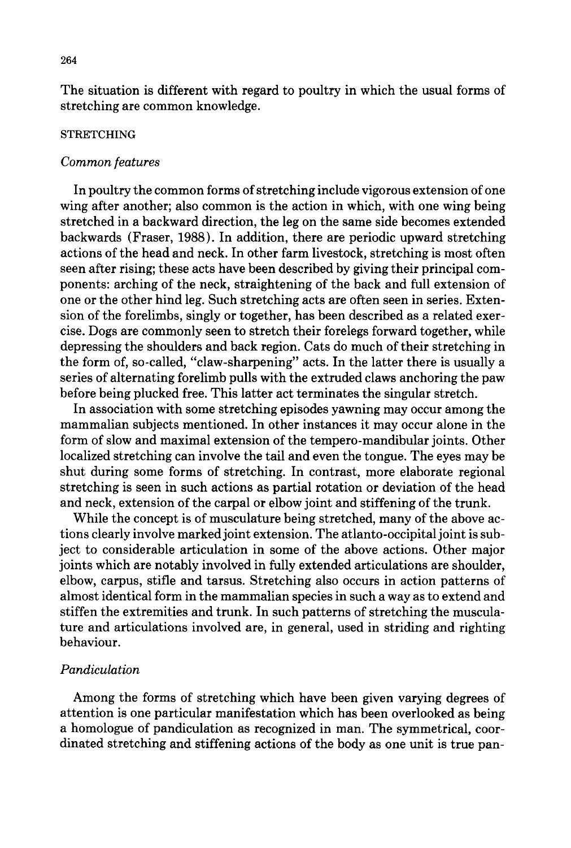The situation is different with regard to poultry in which the usual forms of stretching are common knowledge.

### **STRETCHING**

### *Common features*

In poultry the common forms of stretching include vigorous extension of one wing after another; also common is the action in which, with one wing being stretched in a backward direction, the leg on the same side becomes extended backwards (Fraser, 1988). In addition, there are periodic upward stretching actions of the head and neck. In other farm livestock, stretching is most often seen after rising; these acts have been described by giving their principal components: arching of the neck, straightening of the back and full extension of one or the other hind leg. Such stretching acts are often seen in series. Extension of the forelimbs, singly or together, has been described as a related exercise. Dogs are commonly seen to stretch their forelegs forward together, while depressing the shoulders and back region. Cats do much of their stretching in the form of, so-called, "claw-sharpening" acts. In the latter there is usually a series of alternating forelimb pulls with the extruded claws anchoring the paw before being plucked free. This latter act terminates the singular stretch.

In association with some stretching episodes yawning may occur among the mammalian subjects mentioned. In other instances it may occur alone in the form of slow and maximal extension of the tempero-mandibular joints. Other localized stretching can involve the tail and even the tongue. The eyes may be shut during some forms of stretching. In contrast, more elaborate regional stretching is seen in such actions as partial rotation or deviation of the head and neck, extension of the carpal or elbow joint and stiffening of the trunk.

While the concept is of musculature being stretched, many of the above actions clearly involve marked joint extension. The atlanto-occipital joint is subject to considerable articulation in some of the above actions. Other major joints which are notably involved in fully extended articulations are shoulder, elbow, carpus, stifle and tarsus. Stretching also occurs in action patterns of almost identical form in the mammalian species in such a way as to extend and stiffen the extremities and trunk. In such patterns of stretching the musculature and articulations involved are, in general, used in striding and righting behaviour.

### *Pandiculation*

Among the forms of stretching which have been given varying degrees of attention is one particular manifestation which has been overlooked as being a homologue of pandiculation as recognized in man. The symmetrical, coordinated stretching and stiffening actions of the body as one unit is true pan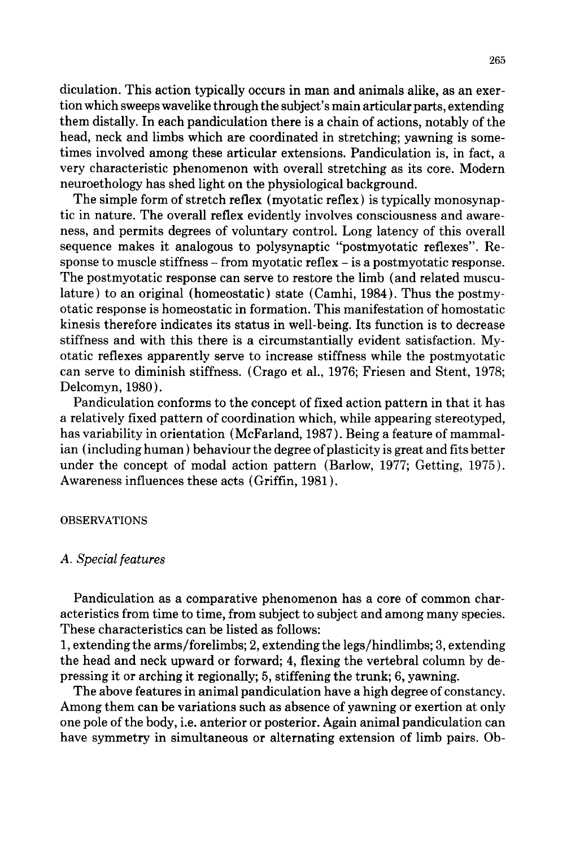diculation. This action typically occurs in man and animals alike, as an exertion which sweeps wavelike through the subject's main articular parts, extending them distally. In each pandiculation there is a chain of actions, notably of the head, neck and limbs which are coordinated in stretching; yawning is sometimes involved among these articular extensions. Pandiculation is, in fact, a very characteristic phenomenon with overall stretching as its core. Modern neuroethology has shed light on the physiological background.

The simple form of stretch reflex (myotatic reflex) is typically monosynaptic in nature. The overall reflex evidently involves consciousness and awareness, and permits degrees of voluntary control. Long latency of this overall sequence makes it analogous to polysynaptic "postmyotatic reflexes". Response to muscle stiffness - from myotatic reflex - is a postmyotatic response. The postmyotatic response can serve to restore the limb (and related musculature) to an original (homeostatic) state (Camhi, 1984). Thus the postmyotatic response is homeostatic in formation. This manifestation of homostatic kinesis therefore indicates its status in well-being. Its function is to decrease stiffness and with this there is a circumstantially evident satisfaction. Myotatic reflexes apparently serve to increase stiffness while the postmyotatic can serve to diminish stiffness. (Crago et al., 1976; Friesen and Stent, 1978; Delcomyn, 1980 ).

Pandiculation conforms to the concept of fixed action pattern in that it has a relatively fixed pattern of coordination which, while appearing stereotyped, has variability in orientation (McFarland, 1987). Being a feature of mammalian (including human ) behaviour the degree of plasticity is great and fits better under the concept of modal action pattern (Barlow, 1977; Getting, 1975). Awareness influences these acts (Griffin, 1981).

### OBSERVATIONS

### *A. Specialfeatures*

Pandiculation as a comparative phenomenon has a core of common characteristics from time to time, from subject to subject and among many species. These characteristics can be listed as follows:

1, extending the arms/forelimbs; 2, extending the legs/hindlimbs; 3, extending the head and neck upward or forward; 4, flexing the vertebral column by depressing it or arching it regionally; 5, stiffening the trunk; 6, yawning.

The above features in animal pandiculation have a high degree of constancy. Among them can be variations such as absence of yawning or exertion at only one pole of the body, i.e. anterior or posterior. Again animal pandiculation can have symmetry in simultaneous or alternating extension of limb pairs. Ob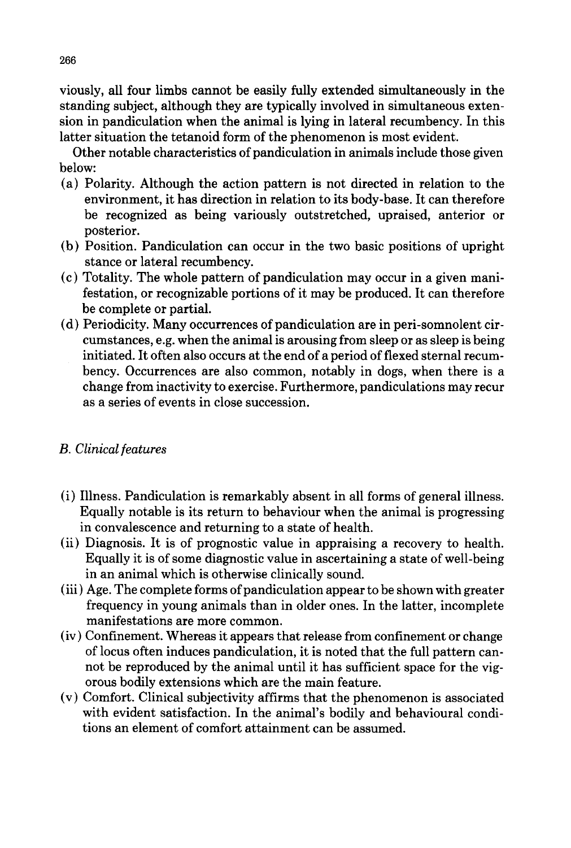viously, all four limbs cannot be easily fully extended simultaneously in the standing subject, although they are typically involved in simultaneous extension in pandiculation when the animal is lying in lateral recumbency. In this latter situation the tetanoid form of the phenomenon is most evident.

Other notable characteristics of pandiculation in animals include those given below:

- (a) Polarity. Although the action pattern is not directed in relation to the environment, it has direction in relation to its body-base. It can therefore be recognized as being variously outstretched, upraised, anterior or posterior.
- (b) Position. Pandiculation can occur in the two basic positions of upright stance or lateral recumbency.
- (c) Totality. The whole pattern of pandiculation may occur in a given manifestation, or recognizable portions of it may be produced. It can therefore be complete or partial.
- (d) Periodicity. Many occurrences of pandiculation are in peri-somnolent circumstances, e.g. when the animal is arousing from sleep or as sleep is being initiated. It often also occurs at the end of a period of flexed sternal recumbency. Occurrences are also common, notably in dogs, when there is a change from inactivity to exercise. Furthermore, pandiculations may recur as a series of events in close succession.

## *B. Clinical features*

- (i) Illness. Pandiculation is remarkably absent in all forms of general illness. Equally notable is its return to behaviour when the animal is progressing in convalescence and returning to a state of health.
- (ii) Diagnosis. It is of prognostic value in appraising a recovery to health. Equally it is of some diagnostic value in ascertaining a state of well-being in an animal which is otherwise clinically sound.
- (iii) Age. The complete forms of pandiculation appear to be shown with greater frequency in young animals than in older ones. In the latter, incomplete manifestations are more common.
- (iv) Confinement. Whereas it appears that release from confinement or change of locus often induces pandiculation, it is noted that the full pattern cannot be reproduced by the animal until it has sufficient space for the vigorous bodily extensions which are the main feature.
- (v) Comfort. Clinical subjectivity affirms that the phenomenon is associated with evident satisfaction. In the animal's bodily and behavioural conditions an element of comfort attainment can be assumed.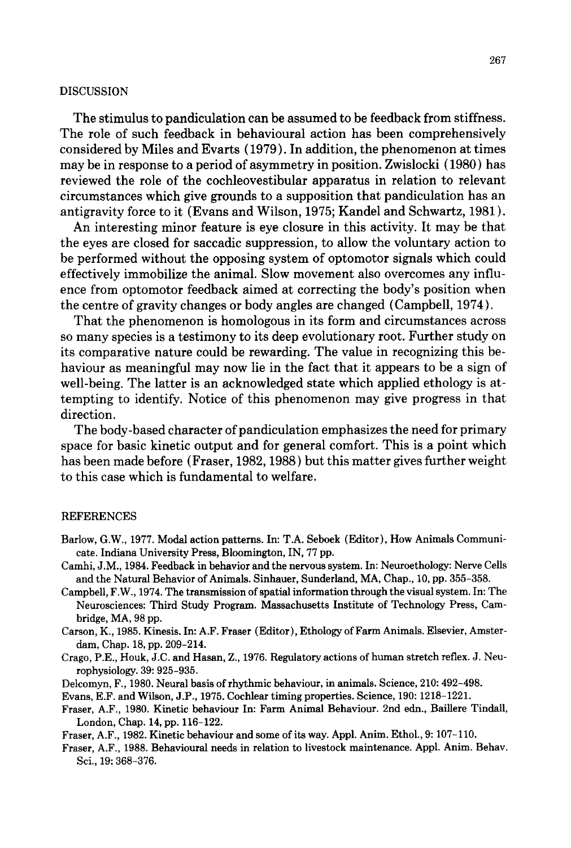### **DISCUSSION**

The stimulus to pandiculation can be assumed to be feedback from stiffness. The role of such feedback in behavioural action has been comprehensively considered by Miles and Evarts (1979). In addition, the phenomenon at times may be in response to a period of asymmetry in position. Zwislocki (1980) has reviewed the role of the cochleovestibular apparatus in relation to relevant circumstances which give grounds to a supposition that pandiculation has an antigravity force to it (Evans and Wilson, 1975; Kandel and Schwartz, 1981 ).

An interesting minor feature is eye closure in this activity. It may be that the eyes are closed for saccadic suppression, to allow the voluntary action to be performed without the opposing system of optomotor signals which could effectively immobilize the animal. Slow movement also overcomes any influence from optomotor feedback aimed at correcting the body's position when the centre of gravity changes or body angles are changed (Campbell, 1974).

That the phenomenon is homologous in its form and circumstances across so many species is a testimony to its deep evolutionary root. Further study on its comparative nature could be rewarding. The value in recognizing this behaviour as meaningful may now lie in the fact that it appears to be a sign of well-being. The latter is an acknowledged state which applied ethology is attempting to identify. Notice of this phenomenon may give progress in that direction.

The body-based character of pandiculation emphasizes the need for primary space for basic kinetic output and for general comfort. This is a point which has been made before (Fraser, 1982, 1988) but this matter gives further weight to this case which is fundamental to welfare.

### REFERENCES

- Barlow, G.W., 1977. Modal action patterns. In: T.A. Seboek (Editor), How Animals Communicate. Indiana University Press, Bloomington, IN, 77 pp.
- Camhi, J.M., 1984. Feedback in behavior and the nervous system. In: Neuroethology: Nerve Cells and the Natural Behavior of Animals. Sinhauer, Sunderland, MA, Chap., 10, pp. 355-358.
- Campbell, F.W., 1974. The transmission of spatial information through the visual system. In: The Neurosciences: Third Study Program. Massachusetts Institute of Technology Press, Cambridge, MA, 98 pp.
- Carson, K., 1985. Kinesis. In: A.F. Fraser (Editor), Ethology of Farm Animals. Elsevier, Amsterdam, Chap. 18, pp. 209-214.
- Crago, P.E., Houk, J.C. and Hasan, Z., 1976. Regulatory actions of human stretch reflex. J. Neurophysiology. 39: 925-935.
- Delcomyn, F., 1980. Neural basis of rhythmic behaviour, in animals. Science, 210: 492-498.

Evans, E.F. and Wilson, J.P., 1975. Cochlear timing properties. Science, 190: 1218-1221.

- Fraser, A.F., 1980. Kinetic behaviour In: Farm Animal Behaviour. 2nd edn., Baillere Tindall, London, Chap. 14, pp. 116-122.
- Fraser, A.F., 1982. Kinetic behaviour and some of its way. Appl. Anim. Ethol., 9: 107-110.
- Fraser, A.F., 1988. Behavioural needs in relation to livestock maintenance. Appl. Anim. Behav. Sci., 19: 368-376.